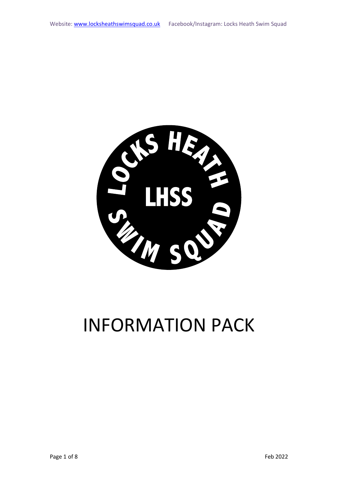

# INFORMATION PACK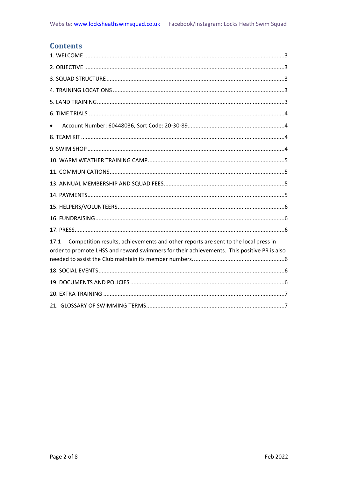# **Contents**

| Competition results, achievements and other reports are sent to the local press in<br>17.1<br>order to promote LHSS and reward swimmers for their achievements. This positive PR is also |
|------------------------------------------------------------------------------------------------------------------------------------------------------------------------------------------|
|                                                                                                                                                                                          |
|                                                                                                                                                                                          |
|                                                                                                                                                                                          |
|                                                                                                                                                                                          |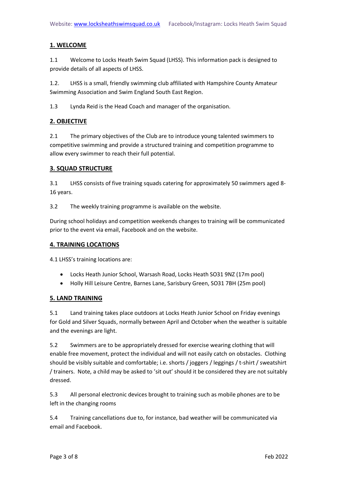# <span id="page-2-0"></span>**1. WELCOME**

1.1 Welcome to Locks Heath Swim Squad (LHSS). This information pack is designed to provide details of all aspects of LHSS.

1.2. LHSS is a small, friendly swimming club affiliated with Hampshire County Amateur Swimming Association and Swim England South East Region.

1.3 Lynda Reid is the Head Coach and manager of the organisation.

# <span id="page-2-1"></span>**2. OBJECTIVE**

2.1 The primary objectives of the Club are to introduce young talented swimmers to competitive swimming and provide a structured training and competition programme to allow every swimmer to reach their full potential.

# <span id="page-2-2"></span>**3. SQUAD STRUCTURE**

3.1 LHSS consists of five training squads catering for approximately 50 swimmers aged 8- 16 years.

3.2 The weekly training programme is available on the website.

During school holidays and competition weekends changes to training will be communicated prior to the event via email, Facebook and on the website.

# <span id="page-2-3"></span>**4. TRAINING LOCATIONS**

4.1 LHSS's training locations are:

- Locks Heath Junior School, Warsash Road, Locks Heath SO31 9NZ (17m pool)
- Holly Hill Leisure Centre, Barnes Lane, Sarisbury Green, SO31 7BH (25m pool)

# <span id="page-2-4"></span>**5. LAND TRAINING**

5.1 Land training takes place outdoors at Locks Heath Junior School on Friday evenings for Gold and Silver Squads, normally between April and October when the weather is suitable and the evenings are light.

5.2 Swimmers are to be appropriately dressed for exercise wearing clothing that will enable free movement, protect the individual and will not easily catch on obstacles. Clothing should be visibly suitable and comfortable; i.e. shorts / joggers / leggings / t-shirt / sweatshirt / trainers. Note, a child may be asked to 'sit out' should it be considered they are not suitably dressed.

5.3 All personal electronic devices brought to training such as mobile phones are to be left in the changing rooms

5.4 Training cancellations due to, for instance, bad weather will be communicated via email and Facebook.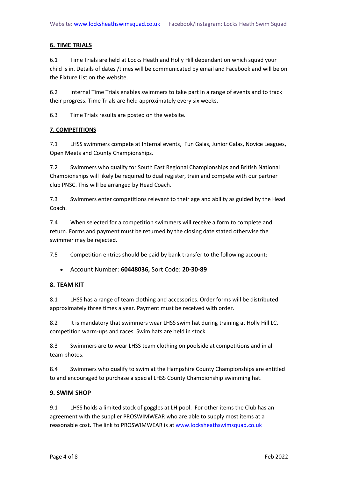# <span id="page-3-0"></span>**6. TIME TRIALS**

6.1 Time Trials are held at Locks Heath and Holly Hill dependant on which squad your child is in. Details of dates /times will be communicated by email and Facebook and will be on the Fixture List on the website.

6.2 Internal Time Trials enables swimmers to take part in a range of events and to track their progress. Time Trials are held approximately every six weeks.

6.3 Time Trials results are posted on the website.

#### **7. COMPETITIONS**

7.1 LHSS swimmers compete at Internal events, Fun Galas, Junior Galas, Novice Leagues, Open Meets and County Championships.

7.2 Swimmers who qualify for South East Regional Championships and British National Championships will likely be required to dual register, train and compete with our partner club PNSC. This will be arranged by Head Coach.

7.3 Swimmers enter competitions relevant to their age and ability as guided by the Head Coach.

7.4 When selected for a competition swimmers will receive a form to complete and return. Forms and payment must be returned by the closing date stated otherwise the swimmer may be rejected.

7.5 Competition entries should be paid by bank transfer to the following account:

<span id="page-3-1"></span>• Account Number: **60448036,** Sort Code: **20-30-89**

# <span id="page-3-2"></span>**8. TEAM KIT**

8.1 LHSS has a range of team clothing and accessories. Order forms will be distributed approximately three times a year. Payment must be received with order.

8.2 It is mandatory that swimmers wear LHSS swim hat during training at Holly Hill LC, competition warm-ups and races. Swim hats are held in stock.

8.3 Swimmers are to wear LHSS team clothing on poolside at competitions and in all team photos.

8.4 Swimmers who qualify to swim at the Hampshire County Championships are entitled to and encouraged to purchase a special LHSS County Championship swimming hat.

# <span id="page-3-3"></span>**9. SWIM SHOP**

9.1 LHSS holds a limited stock of goggles at LH pool. For other items the Club has an agreement with the supplier PROSWIMWEAR who are able to supply most items at a reasonable cost. The link to PROSWIMWEAR is a[t www.locksheathswimsquad.co.uk](http://www.locksheathswimsquad.co.uk/)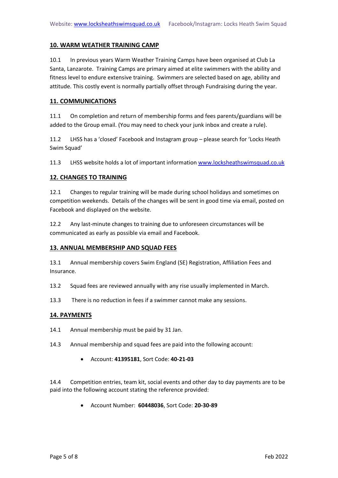#### <span id="page-4-0"></span>**10. WARM WEATHER TRAINING CAMP**

10.1 In previous years Warm Weather Training Camps have been organised at Club La Santa, Lanzarote. Training Camps are primary aimed at elite swimmers with the ability and fitness level to endure extensive training. Swimmers are selected based on age, ability and attitude. This costly event is normally partially offset through Fundraising during the year.

#### <span id="page-4-1"></span>**11. COMMUNICATIONS**

11.1 On completion and return of membership forms and fees parents/guardians will be added to the Group email. (You may need to check your junk inbox and create a rule).

11.2 LHSS has a 'closed' Facebook and Instagram group – please search for 'Locks Heath Swim Squad'

11.3 LHSS website holds a lot of important information [www.locksheathswimsquad.co.uk](http://www.locksheathswimsquad.co.uk/)

#### **12. CHANGES TO TRAINING**

12.1 Changes to regular training will be made during school holidays and sometimes on competition weekends. Details of the changes will be sent in good time via email, posted on Facebook and displayed on the website.

12.2 Any last-minute changes to training due to unforeseen circumstances will be communicated as early as possible via email and Facebook.

#### <span id="page-4-2"></span>**13. ANNUAL MEMBERSHIP AND SQUAD FEES**

13.1 Annual membership covers Swim England (SE) Registration, Affiliation Fees and Insurance.

- 13.2 Squad fees are reviewed annually with any rise usually implemented in March.
- 13.3 There is no reduction in fees if a swimmer cannot make any sessions.

#### <span id="page-4-3"></span>**14. PAYMENTS**

- 14.1 Annual membership must be paid by 31 Jan.
- 14.3 Annual membership and squad fees are paid into the following account:
	- Account: **41395181**, Sort Code: **40-21-03**

14.4 Competition entries, team kit, social events and other day to day payments are to be paid into the following account stating the reference provided:

• Account Number: **60448036**, Sort Code: **20-30-89**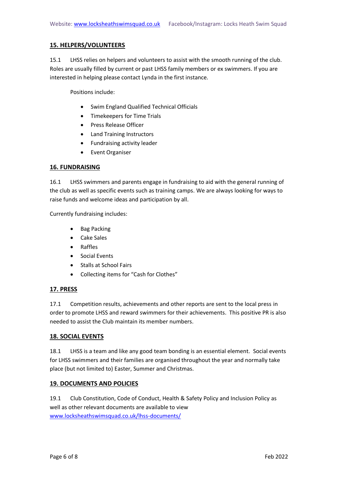# <span id="page-5-0"></span>**15. HELPERS/VOLUNTEERS**

15.1 LHSS relies on helpers and volunteers to assist with the smooth running of the club. Roles are usually filled by current or past LHSS family members or ex swimmers. If you are interested in helping please contact Lynda in the first instance.

Positions include:

- Swim England Qualified Technical Officials
- Timekeepers for Time Trials
- Press Release Officer
- Land Training Instructors
- Fundraising activity leader
- Event Organiser

# <span id="page-5-1"></span>**16. FUNDRAISING**

16.1 LHSS swimmers and parents engage in fundraising to aid with the general running of the club as well as specific events such as training camps. We are always looking for ways to raise funds and welcome ideas and participation by all.

Currently fundraising includes:

- Bag Packing
- Cake Sales
- Raffles
- Social Events
- Stalls at School Fairs
- Collecting items for "Cash for Clothes"

# <span id="page-5-2"></span>**17. PRESS**

<span id="page-5-3"></span>17.1 Competition results, achievements and other reports are sent to the local press in order to promote LHSS and reward swimmers for their achievements. This positive PR is also needed to assist the Club maintain its member numbers.

# <span id="page-5-4"></span>**18. SOCIAL EVENTS**

18.1 LHSS is a team and like any good team bonding is an essential element. Social events for LHSS swimmers and their families are organised throughout the year and normally take place (but not limited to) Easter, Summer and Christmas.

# <span id="page-5-5"></span>**19. DOCUMENTS AND POLICIES**

19.1 Club Constitution, Code of Conduct, Health & Safety Policy and Inclusion Policy as well as other relevant documents are available to view [www.locksheathswimsquad.co.uk/lhss-documents/](http://www.locksheathswimsquad.co.uk/lhss-documents/)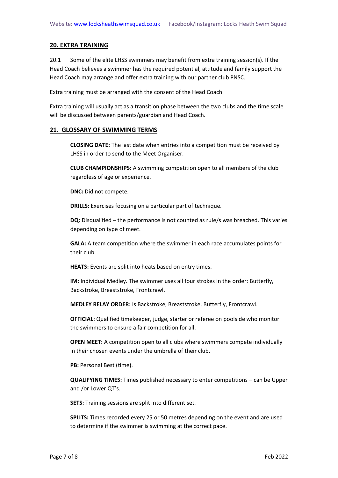#### <span id="page-6-0"></span>**20. EXTRA TRAINING**

20.1 Some of the elite LHSS swimmers may benefit from extra training session(s). If the Head Coach believes a swimmer has the required potential, attitude and family support the Head Coach may arrange and offer extra training with our partner club PNSC.

Extra training must be arranged with the consent of the Head Coach.

Extra training will usually act as a transition phase between the two clubs and the time scale will be discussed between parents/guardian and Head Coach.

#### <span id="page-6-1"></span>**21. GLOSSARY OF SWIMMING TERMS**

**CLOSING DATE:** The last date when entries into a competition must be received by LHSS in order to send to the Meet Organiser.

**CLUB CHAMPIONSHIPS:** A swimming competition open to all members of the club regardless of age or experience.

**DNC:** Did not compete.

**DRILLS:** Exercises focusing on a particular part of technique.

**DQ:** Disqualified – the performance is not counted as rule/s was breached. This varies depending on type of meet.

**GALA:** A team competition where the swimmer in each race accumulates points for their club.

**HEATS:** Events are split into heats based on entry times.

**IM:** Individual Medley. The swimmer uses all four strokes in the order: Butterfly, Backstroke, Breaststroke, Frontcrawl.

**MEDLEY RELAY ORDER:** Is Backstroke, Breaststroke, Butterfly, Frontcrawl.

**OFFICIAL:** Qualified timekeeper, judge, starter or referee on poolside who monitor the swimmers to ensure a fair competition for all.

**OPEN MEET:** A competition open to all clubs where swimmers compete individually in their chosen events under the umbrella of their club.

**PB:** Personal Best (time).

**QUALIFYING TIMES:** Times published necessary to enter competitions – can be Upper and /or Lower QT's.

**SETS:** Training sessions are split into different set.

**SPLITS:** Times recorded every 25 or 50 metres depending on the event and are used to determine if the swimmer is swimming at the correct pace.